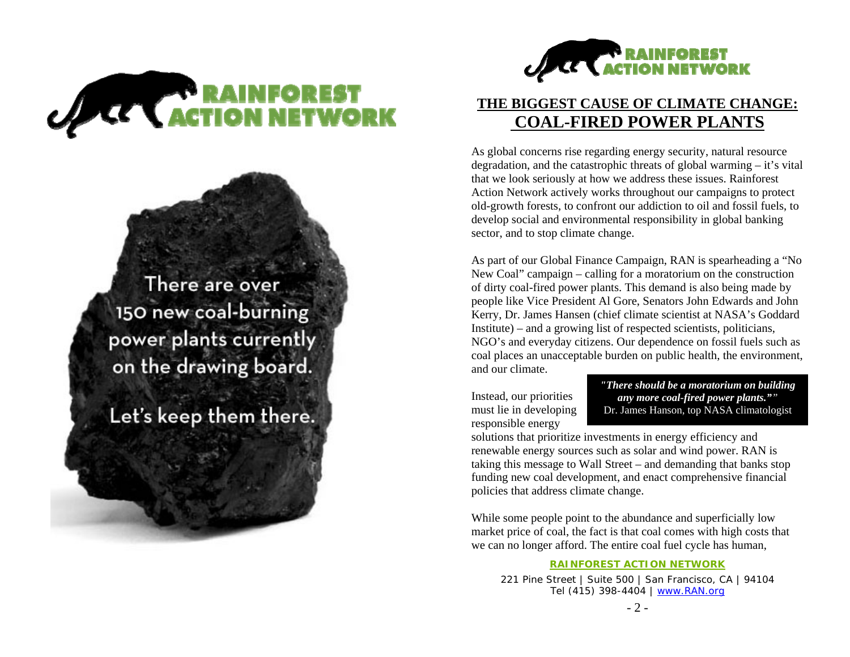

There are over 150 new coal-burning power plants currently on the drawing board.

Let's keep them there.



## **THE BIGGEST CAUSE OF CLIMATE CHANGE: COAL-FIRED POWER PLANTS**

As global concerns rise regarding energy security, natural resource degradation, and the catastrophic threats of global warming – it's vital that we look seriously at how we address these issues. Rainforest Action Network actively works throughout our campaigns to protect old-growth forests, to confront our addiction to oil and fossil fuels, to develop social and environmental responsibility in global banking sector, and to stop climate change.

As part of our Global Finance Campaign, RAN is spearheading a "No New Coal" campaign – calling for a moratorium on the construction of dirty coal-fired power plants. This demand is also being made by people like Vice President Al Gore, Senators John Edwards and John Kerry, Dr. James Hansen (chief climate scientist at NASA's Goddard Institute) – and a growing list of respected scientists, politicians, NGO's and everyday citizens. Our dependence on fossil fuels such as coal places an unacceptable burden on public health, the environment, and our climate.

Instead, our priorities must lie in developing responsible energy

*"There should be a moratorium on building any more coal-fired power plants.""* Dr. James Hanson, top NASA climatologist

solutions that prioritize investments in energy efficiency and renewable energy sources such as solar and wind power. RAN is taking this message to Wall Street – and demanding that banks stop funding new coal development, and enact comprehensive financial policies that address climate change.

While some people point to the abundance and superficially low market price of coal, the fact is that coal comes with high costs that we can no longer afford. The entire coal fuel cycle has human,

#### **RAINFOREST ACTION NETWORK**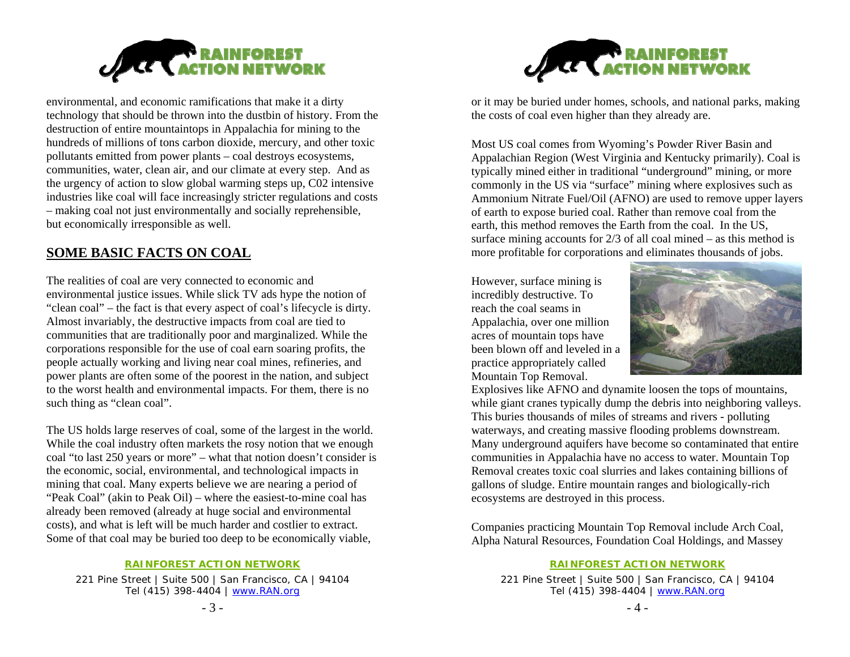

environmental, and economic ramifications that make it a dirty technology that should be thrown into the dustbin of history. From the destruction of entire mountaintops in Appalachia for mining to the hundreds of millions of tons carbon dioxide, mercury, and other toxic pollutants emitted from power plants – coal destroys ecosystems, communities, water, clean air, and our climate at every step. And as the urgency of action to slow global warming steps up, C02 intensive industries like coal will face increasingly stricter regulations and costs – making coal not just environmentally and socially reprehensible, but economically irresponsible as well.

### **SOME BASIC FACTS ON COAL**

The realities of coal are very connected to economic and environmental justice issues. While slick TV ads hype the notion of "clean coal" – the fact is that every aspect of coal's lifecycle is dirty. Almost invariably, the destructive impacts from coal are tied to communities that are traditionally poor and marginalized. While the corporations responsible for the use of coal earn soaring profits, the people actually working and living near coal mines, refineries, and power plants are often some of the poorest in the nation, and subject to the worst health and environmental impacts. For them, there is no such thing as "clean coal".

The US holds large reserves of coal, some of the largest in the world. While the coal industry often markets the rosy notion that we enough coal "to last 250 years or more" – what that notion doesn't consider is the economic, social, environmental, and technological impacts in mining that coal. Many experts believe we are nearing a period of "Peak Coal" (akin to Peak Oil) – where the easiest-to-mine coal has already been removed (already at huge social and environmental costs), and what is left will be much harder and costlier to extract. Some of that coal may be buried too deep to be economically viable,

#### **RAINFOREST ACTION NETWORK**

221 Pine Street | Suite 500 | San Francisco, CA | 94104 Tel (415) 398-4404 | www.RAN.org



or it may be buried under homes, schools, and national parks, making the costs of coal even higher than they already are.

Most US coal comes from Wyoming's Powder River Basin and Appalachian Region (West Virginia and Kentucky primarily). Coal is typically mined either in traditional "underground" mining, or more commonly in the US via "surface" mining where explosives such as Ammonium Nitrate Fuel/Oil (AFNO) are used to remove upper layers of earth to expose buried coal. Rather than remove coal from the earth, this method removes the Earth from the coal. In the US, surface mining accounts for  $2/3$  of all coal mined – as this method is more profitable for corporations and eliminates thousands of jobs.

However, surface mining is incredibly destructive. To reach the coal seams in Appalachia, over one million acres of mountain tops have been blown off and leveled in a practice appropriately called Mountain Top Removal.



Explosives like AFNO and dynamite loosen the tops of mountains, while giant cranes typically dump the debris into neighboring valleys. This buries thousands of miles of streams and rivers - polluting waterways, and creating massive flooding problems downstream. Many underground aquifers have become so contaminated that entire communities in Appalachia have no access to water. Mountain Top Removal creates toxic coal slurries and lakes containing billions of gallons of sludge. Entire mountain ranges and biologically-rich ecosystems are destroyed in this process.

Companies practicing Mountain Top Removal include Arch Coal, Alpha Natural Resources, Foundation Coal Holdings, and Massey

#### **RAINFOREST ACTION NETWORK**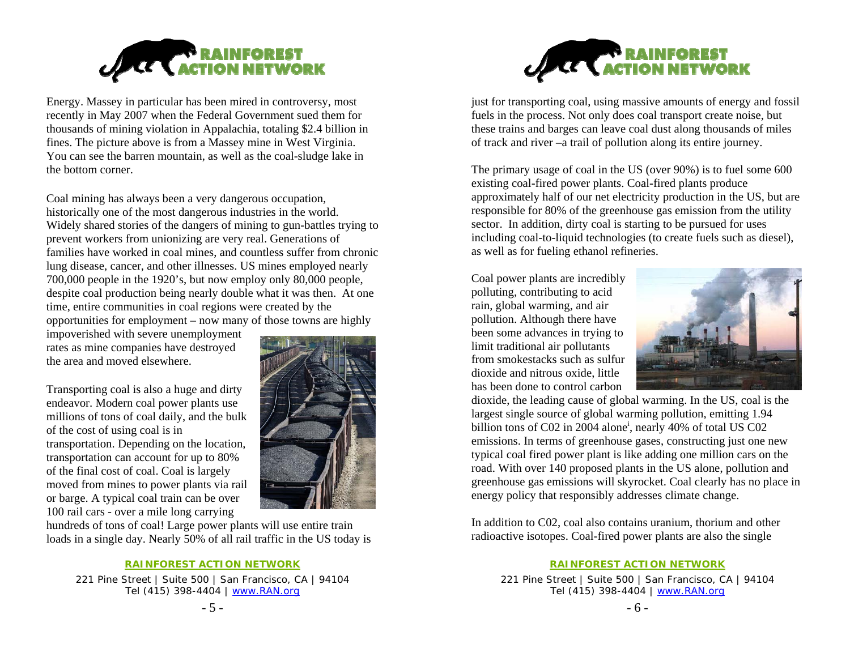

Energy. Massey in particular has been mired in controversy, most recently in May 2007 when the Federal Government sued them for thousands of mining violation in Appalachia, totaling \$2.4 billion in fines. The picture above is from a Massey mine in West Virginia. You can see the barren mountain, as well as the coal-sludge lake in the bottom corner.

Coal mining has always been a very dangerous occupation, historically one of the most dangerous industries in the world. Widely shared stories of the dangers of mining to gun-battles trying to prevent workers from unionizing are very real. Generations of families have worked in coal mines, and countless suffer from chronic lung disease, cancer, and other illnesses. US mines employed nearly 700,000 people in the 1920's, but now employ only 80,000 people, despite coal production being nearly double what it was then. At one time, entire communities in coal regions were created by the opportunities for employment – now many of those towns are highly

impoverished with severe unemployment rates as mine companies have destroyed the area and moved elsewhere.

Transporting coal is also a huge and dirty endeavor. Modern coal power plants use millions of tons of coal daily, and the bulk of the cost of using coal is in transportation. Depending on the location, transportation can account for up to 80% of the final cost of coal. Coal is largely moved from mines to power plants via rail or barge. A typical coal train can be over 100 rail cars - over a mile long carrying



hundreds of tons of coal! Large power plants will use entire train loads in a single day. Nearly 50% of all rail traffic in the US today is

#### **RAINFOREST ACTION NETWORK**

221 Pine Street | Suite 500 | San Francisco, CA | 94104 Tel (415) 398-4404 | www.RAN.org



just for transporting coal, using massive amounts of energy and fossil fuels in the process. Not only does coal transport create noise, but these trains and barges can leave coal dust along thousands of miles of track and river –a trail of pollution along its entire journey.

The primary usage of coal in the US (over 90%) is to fuel some 600 existing coal-fired power plants. Coal-fired plants produce approximately half of our net electricity production in the US, but are responsible for 80% of the greenhouse gas emission from the utility sector. In addition, dirty coal is starting to be pursued for uses including coal-to-liquid technologies (to create fuels such as diesel), as well as for fueling ethanol refineries.

Coal power plants are incredibly polluting, contributing to acid rain, global warming, and air pollution. Although there have been some advances in trying to limit traditional air pollutants from smokestacks such as sulfur dioxide and nitrous oxide, little has been done to control carbon



dioxide, the leading cause of global warming. In the US, coal is the largest single source of global warming pollution, emitting 1.94 billion tons of C02 in 2004 alone<sup>i</sup>, nearly 40% of total US C02 emissions. In terms of greenhouse gases, constructing just one new typical coal fired power plant is like adding one million cars on the road. With over 140 proposed plants in the US alone, pollution and greenhouse gas emissions will skyrocket. Coal clearly has no place in energy policy that responsibly addresses climate change.

In addition to C02, coal also contains uranium, thorium and other radioactive isotopes. Coal-fired power plants are also the single

### **RAINFOREST ACTION NETWORK**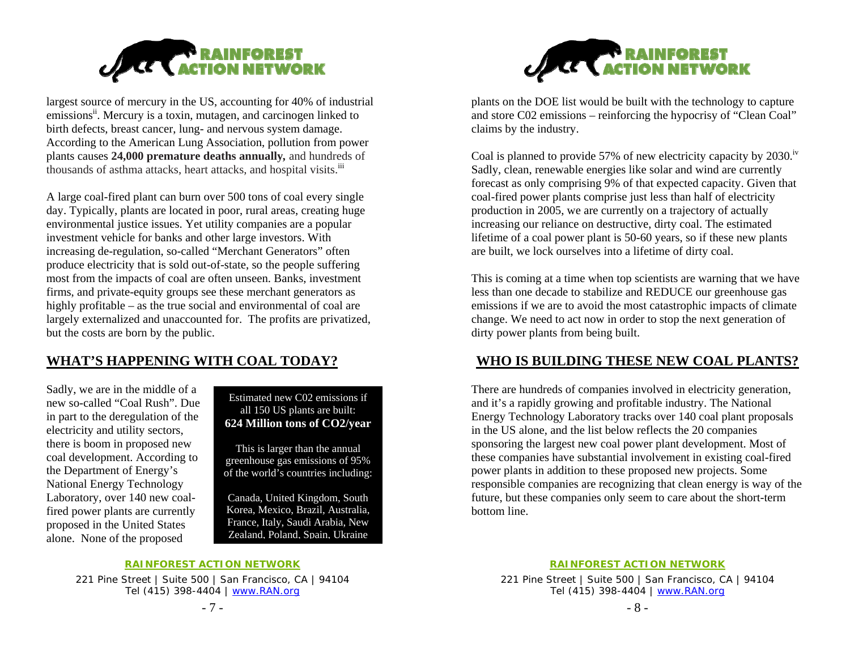

largest source of mercury in the US, accounting for 40% of industrial emissions<sup>ii</sup>. Mercury is a toxin, mutagen, and carcinogen linked to birth defects, breast cancer, lung- and nervous system damage. According to the American Lung Association, pollution from power plants causes **24,000 premature deaths annually***,* and hundreds of thousands of asthma attacks, heart attacks, and hospital visits.<sup>iii</sup>

A large coal-fired plant can burn over 500 tons of coal every single day. Typically, plants are located in poor, rural areas, creating huge environmental justice issues. Yet utility companies are a popular investment vehicle for banks and other large investors. With increasing de-regulation, so-called "Merchant Generators" often produce electricity that is sold out-of-state, so the people suffering most from the impacts of coal are often unseen. Banks, investment firms, and private-equity groups see these merchant generators as highly profitable – as the true social and environmental of coal are largely externalized and unaccounted for. The profits are privatized, but the costs are born by the public.

### **WHAT'S HAPPENING WITH COAL TODAY?**

Sadly, we are in the middle of a new so-called "Coal Rush". Due in part to the deregulation of the electricity and utility sectors, there is boom in proposed new coal development. According to the Department of Energy's National Energy Technology Laboratory, over 140 new coalfired power plants are currently proposed in the United States alone. None of the proposed

Estimated new C02 emissions if all 150 US plants are built: **624 Million tons of CO2/year** 

This is larger than the annual greenhouse gas emissions of 95% of the world's countries including:

Canada, United Kingdom, South Korea, Mexico, Brazil, Australia, France, Italy, Saudi Arabia, New Zealand, Poland, Spain, Ukraine

### **RAINFOREST ACTION NETWORK**

221 Pine Street | Suite 500 | San Francisco, CA | 94104 Tel (415) 398-4404 | www.RAN.org





plants on the DOE list would be built with the technology to capture and store C02 emissions – reinforcing the hypocrisy of "Clean Coal" claims by the industry.

Coal is planned to provide 57% of new electricity capacity by  $2030$ .<sup>iv</sup> Sadly, clean, renewable energies like solar and wind are currently forecast as only comprising 9% of that expected capacity. Given that coal-fired power plants comprise just less than half of electricity production in 2005, we are currently on a trajectory of actually increasing our reliance on destructive, dirty coal. The estimated lifetime of a coal power plant is 50-60 years, so if these new plants are built, we lock ourselves into a lifetime of dirty coal.

This is coming at a time when top scientists are warning that we have less than one decade to stabilize and REDUCE our greenhouse gas emissions if we are to avoid the most catastrophic impacts of climate change. We need to act now in order to stop the next generation of dirty power plants from being built.

### **WHO IS BUILDING THESE NEW COAL PLANTS?**

There are hundreds of companies involved in electricity generation, and it's a rapidly growing and profitable industry. The National Energy Technology Laboratory tracks over 140 coal plant proposals in the US alone, and the list below reflects the 20 companies sponsoring the largest new coal power plant development. Most of these companies have substantial involvement in existing coal-fired power plants in addition to these proposed new projects. Some responsible companies are recognizing that clean energy is way of the future, but these companies only seem to care about the short-term bottom line.

**RAINFOREST ACTION NETWORK**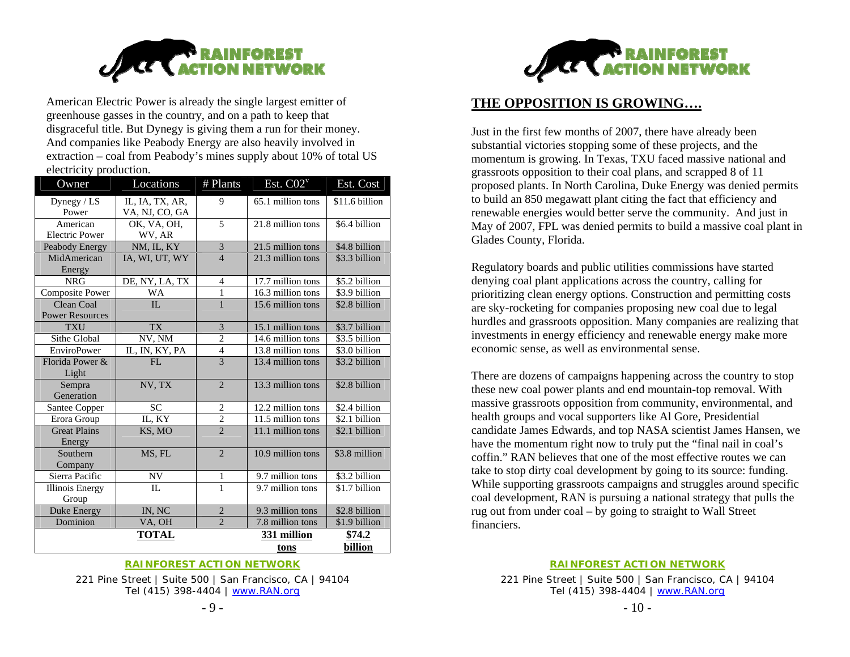

American Electric Power is already the single largest emitter of greenhouse gasses in the country, and on a path to keep that disgraceful title. But Dynegy is giving them a run for their money. And companies like Peabody Energy are also heavily involved in extraction – coal from Peabody's mines supply about 10% of total US electricity production.

| Owner                  | Locations       | # Plants                 | Est. $CO2^v$        | Est. Cost      |
|------------------------|-----------------|--------------------------|---------------------|----------------|
| Dynegy $/$ LS          | IL, IA, TX, AR, | 9                        | 65.1 million tons   | \$11.6 billion |
| Power                  | VA, NJ, CO, GA  |                          |                     |                |
| American               | OK, VA, OH,     | 5                        | 21.8 million tons   | \$6.4 billion  |
| <b>Electric Power</b>  | WV, AR          |                          |                     |                |
| Peabody Energy         | NM, IL, KY      | 3                        | 21.5 million tons   | \$4.8 billion  |
| MidAmerican            | IA, WI, UT, WY  | $\overline{4}$           | 21.3 million tons   | \$3.3 billion  |
| Energy                 |                 |                          |                     |                |
| <b>NRG</b>             | DE, NY, LA, TX  | $\overline{4}$           | 17.7 million tons   | \$5.2 billion  |
| <b>Composite Power</b> | <b>WA</b>       | 1                        | 16.3 million tons   | \$3.9 billion  |
| Clean Coal             | $\Pi$           | $\mathbf{1}$             | 15.6 million tons   | \$2.8 billion  |
| <b>Power Resources</b> |                 |                          |                     |                |
| <b>TXU</b>             | <b>TX</b>       | 3                        | 15.1 million tons   | \$3.7 billion  |
| Sithe Global           | NV, NM          | $\overline{2}$           | $14.6$ million tons | \$3.5 billion  |
| <b>EnviroPower</b>     | IL, IN, KY, PA  | $\overline{\mathcal{L}}$ | 13.8 million tons   | \$3.0 billion  |
| Florida Power &        | FI.             | $\overline{3}$           | 13.4 million tons   | \$3.2 billion  |
| Light                  |                 |                          |                     |                |
| Sempra                 | NV, TX          | $\overline{2}$           | 13.3 million tons   | \$2.8 billion  |
| Generation             |                 |                          |                     |                |
| Santee Copper          | <b>SC</b>       | $\overline{2}$           | 12.2 million tons   | \$2.4 billion  |
| Erora Group            | IL, KY          | $\overline{2}$           | 11.5 million tons   | \$2.1 billion  |
| <b>Great Plains</b>    | KS, MO          | $\overline{2}$           | 11.1 million tons   | \$2.1 billion  |
| Energy                 |                 |                          |                     |                |
| Southern               | MS, FL          | $\overline{\mathcal{L}}$ | 10.9 million tons   | \$3.8 million  |
| Company                |                 |                          |                     |                |
| Sierra Pacific         | NV              | 1                        | 9.7 million tons    | \$3.2 billion  |
| <b>Illinois Energy</b> | $\Pi$ .         | $\mathbf{1}$             | 9.7 million tons    | \$1.7 billion  |
| Group                  |                 |                          |                     |                |
| Duke Energy            | IN, NC          | $\overline{2}$           | 9.3 million tons    | \$2.8 billion  |
| Dominion               | VA, OH          | $\overline{2}$           | 7.8 million tons    | \$1.9 billion  |
|                        | <b>TOTAL</b>    |                          | 331 million         | \$74.2         |
|                        |                 |                          | tons                | billion        |

#### **RAINFOREST ACTION NETWORK**

221 Pine Street | Suite 500 | San Francisco, CA | 94104 Tel (415) 398-4404 | www.RAN.org



### **THE OPPOSITION IS GROWING….**

Just in the first few months of 2007, there have already been substantial victories stopping some of these projects, and the momentum is growing. In Texas, TXU faced massive national and grassroots opposition to their coal plans, and scrapped 8 of 11 proposed plants. In North Carolina, Duke Energy was denied permits to build an 850 megawatt plant citing the fact that efficiency and renewable energies would better serve the community. And just in May of 2007, FPL was denied permits to build a massive coal plant in Glades County, Florida.

Regulatory boards and public utilities commissions have started denying coal plant applications across the country, calling for prioritizing clean energy options. Construction and permitting costs are sky-rocketing for companies proposing new coal due to legal hurdles and grassroots opposition. Many companies are realizing that investments in energy efficiency and renewable energy make more economic sense, as well as environmental sense.

There are dozens of campaigns happening across the country to stop these new coal power plants and end mountain-top removal. With massive grassroots opposition from community, environmental, and health groups and vocal supporters like Al Gore, Presidential candidate James Edwards, and top NASA scientist James Hansen, we have the momentum right now to truly put the "final nail in coal's coffin." RAN believes that one of the most effective routes we can take to stop dirty coal development by going to its source: funding. While supporting grassroots campaigns and struggles around specific coal development, RAN is pursuing a national strategy that pulls the rug out from under coal – by going to straight to Wall Street financiers.

**RAINFOREST ACTION NETWORK**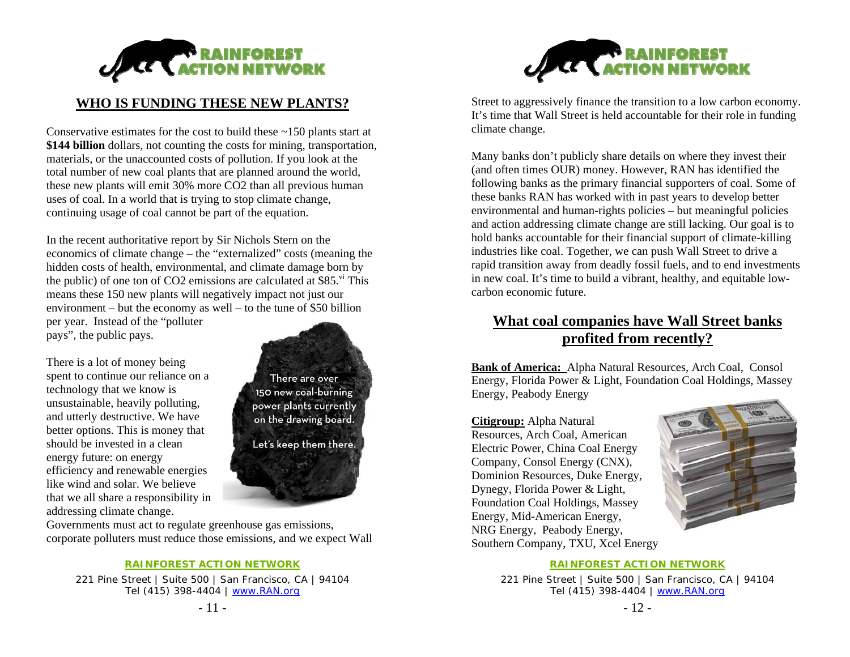

### **WHO IS FUNDING THESE NEW PLANTS?**

Conservative estimates for the cost to build these ~150 plants start at **\$144 billion** dollars, not counting the costs for mining, transportation, materials, or the unaccounted costs of pollution. If you look at the total number of new coal plants that are planned around the world, these new plants will emit 30% more CO2 than all previous human uses of coal. In a world that is trying to stop climate change, continuing usage of coal cannot be part of the equation.

In the recent authoritative report by Sir Nichols Stern on the economics of climate change – the "externalized" costs (meaning the hidden costs of health, environmental, and climate damage born by the public) of one ton of CO2 emissions are calculated at \$85. $\mathrm{v}$ <sup>t</sup> This means these 150 new plants will negatively impact not just our environment – but the economy as well – to the tune of \$50 billion per year. Instead of the "polluter

pays", the public pays.

There is a lot of money being spent to continue our reliance on a technology that we know is unsustainable, heavily polluting, and utterly destructive. We have better options. This is money that should be invested in a clean energy future: on energy efficiency and renewable energies like wind and solar. We believe that we all share a responsibility in addressing climate change.

There are over 150 new coal-burning power plants currently on the drawing board. Let's keep them there.

Governments must act to regulate greenhouse gas emissions, corporate polluters must reduce those emissions, and we expect Wall

### **RAINFOREST ACTION NETWORK**

221 Pine Street | Suite 500 | San Francisco, CA | 94104 Tel (415) 398-4404 | www.RAN.org



Street to aggressively finance the transition to a low carbon economy. It's time that Wall Street is held accountable for their role in funding climate change.

Many banks don't publicly share details on where they invest their (and often times OUR) money. However, RAN has identified the following banks as the primary financial supporters of coal. Some of these banks RAN has worked with in past years to develop better environmental and human-rights policies – but meaningful policies and action addressing climate change are still lacking. Our goal is to hold banks accountable for their financial support of climate-killing industries like coal. Together, we can push Wall Street to drive a rapid transition away from deadly fossil fuels, and to end investments in new coal. It's time to build a vibrant, healthy, and equitable lowcarbon economic future.

## **What coal companies have Wall Street banks profited from recently?**

**Bank of America:** Alpha Natural Resources, Arch Coal, Consol Energy, Florida Power & Light, Foundation Coal Holdings, Massey Energy, Peabody Energy

**Citigroup:** Alpha Natural Resources, Arch Coal, American Electric Power, China Coal Energy Company, Consol Energy (CNX), Dominion Resources, Duke Energy, Dynegy, Florida Power & Light, Foundation Coal Holdings, Massey Energy, Mid-American Energy, NRG Energy, Peabody Energy, Southern Company, TXU, Xcel Energy



### **RAINFOREST ACTION NETWORK**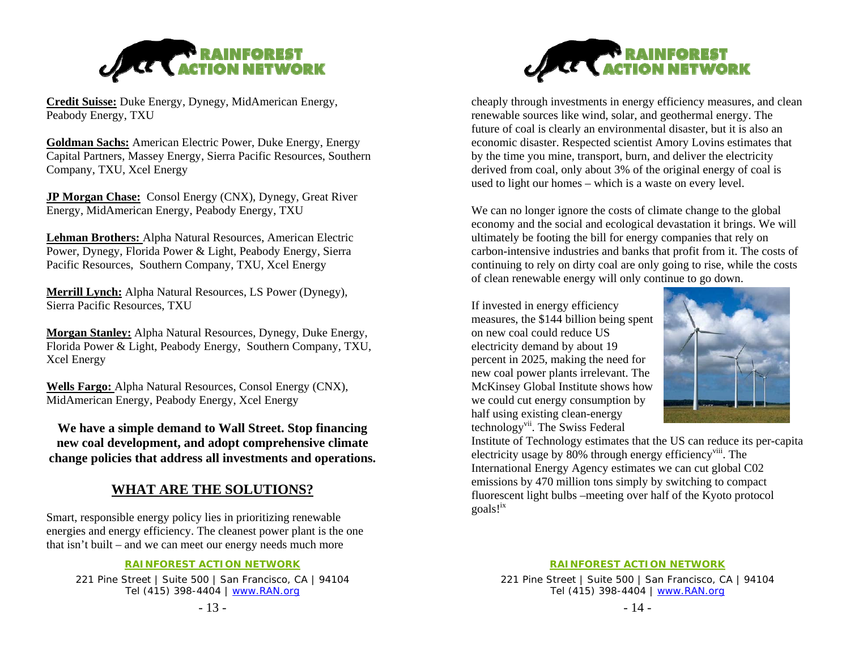

**Credit Suisse:** Duke Energy, Dynegy, MidAmerican Energy, Peabody Energy, TXU

**Goldman Sachs:** American Electric Power, Duke Energy, Energy Capital Partners, Massey Energy, Sierra Pacific Resources, Southern Company, TXU, Xcel Energy

**JP Morgan Chase:** Consol Energy (CNX), Dynegy, Great River Energy, MidAmerican Energy, Peabody Energy, TXU

**Lehman Brothers:** Alpha Natural Resources, American Electric Power, Dynegy, Florida Power & Light, Peabody Energy, Sierra Pacific Resources, Southern Company, TXU, Xcel Energy

**Merrill Lynch:** Alpha Natural Resources, LS Power (Dynegy), Sierra Pacific Resources, TXU

**Morgan Stanley:** Alpha Natural Resources, Dynegy, Duke Energy, Florida Power & Light, Peabody Energy, Southern Company, TXU, Xcel Energy

**Wells Fargo:** Alpha Natural Resources, Consol Energy (CNX), MidAmerican Energy, Peabody Energy, Xcel Energy

**We have a simple demand to Wall Street. Stop financing new coal development, and adopt comprehensive climate change policies that address all investments and operations.** 

### **WHAT ARE THE SOLUTIONS?**

Smart, responsible energy policy lies in prioritizing renewable energies and energy efficiency. The cleanest power plant is the one that isn't built – and we can meet our energy needs much more

### **RAINFOREST ACTION NETWORK**

221 Pine Street | Suite 500 | San Francisco, CA | 94104 Tel (415) 398-4404 | www.RAN.org





cheaply through investments in energy efficiency measures, and clean renewable sources like wind, solar, and geothermal energy. The future of coal is clearly an environmental disaster, but it is also an economic disaster. Respected scientist Amory Lovins estimates that by the time you mine, transport, burn, and deliver the electricity derived from coal, only about 3% of the original energy of coal is used to light our homes – which is a waste on every level.

We can no longer ignore the costs of climate change to the global economy and the social and ecological devastation it brings. We will ultimately be footing the bill for energy companies that rely on carbon-intensive industries and banks that profit from it. The costs of continuing to rely on dirty coal are only going to rise, while the costs of clean renewable energy will only continue to go down.

If invested in energy efficiency measures, the \$144 billion being spent on new coal could reduce US electricity demand by about 19 percent in 2025, making the need for new coal power plants irrelevant. The McKinsey Global Institute shows how we could cut energy consumption by half using existing clean-energy technologyvii. The Swiss Federal



Institute of Technology estimates that the US can reduce its per-capita electricity usage by 80% through energy efficiency<sup>viii</sup>. The International Energy Agency estimates we can cut global C02 emissions by 470 million tons simply by switching to compact fluorescent light bulbs –meeting over half of the Kyoto protocol goals!ix

### **RAINFOREST ACTION NETWORK**